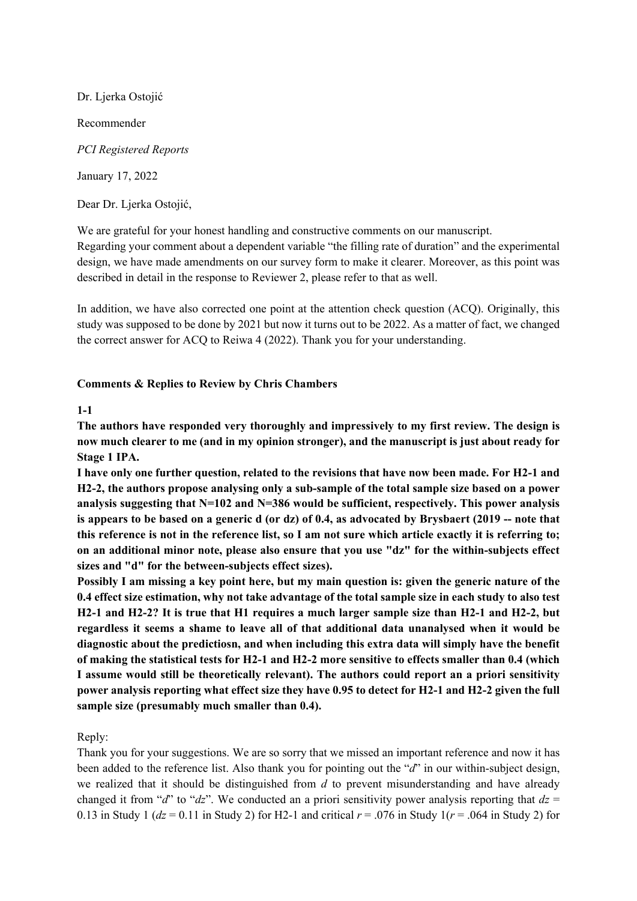Dr. Ljerka Ostojić Recommender *PCI Registered Reports* January 17, 2022

Dear Dr. Ljerka Ostojić,

We are grateful for your honest handling and constructive comments on our manuscript.

Regarding your comment about a dependent variable "the filling rate of duration" and the experimental design, we have made amendments on our survey form to make it clearer. Moreover, as this point was described in detail in the response to Reviewer 2, please refer to that as well.

In addition, we have also corrected one point at the attention check question (ACQ). Originally, this study was supposed to be done by 2021 but now it turns out to be 2022. As a matter of fact, we changed the correct answer for ACQ to Reiwa 4 (2022). Thank you for your understanding.

## **Comments & Replies to Review by Chris Chambers**

## **1-1**

**The authors have responded very thoroughly and impressively to my first review. The design is now much clearer to me (and in my opinion stronger), and the manuscript is just about ready for Stage 1 IPA.**

**I have only one further question, related to the revisions that have now been made. For H2-1 and H2-2, the authors propose analysing only a sub-sample of the total sample size based on a power analysis suggesting that N=102 and N=386 would be sufficient, respectively. This power analysis is appears to be based on a generic d (or dz) of 0.4, as advocated by Brysbaert (2019 -- note that this reference is not in the reference list, so I am not sure which article exactly it is referring to; on an additional minor note, please also ensure that you use "dz" for the within-subjects effect sizes and "d" for the between-subjects effect sizes).**

**Possibly I am missing a key point here, but my main question is: given the generic nature of the 0.4 effect size estimation, why not take advantage of the total sample size in each study to also test H2-1 and H2-2? It is true that H1 requires a much larger sample size than H2-1 and H2-2, but regardless it seems a shame to leave all of that additional data unanalysed when it would be diagnostic about the predictiosn, and when including this extra data will simply have the benefit of making the statistical tests for H2-1 and H2-2 more sensitive to effects smaller than 0.4 (which I assume would still be theoretically relevant). The authors could report an a priori sensitivity power analysis reporting what effect size they have 0.95 to detect for H2-1 and H2-2 given the full sample size (presumably much smaller than 0.4).**

Reply:

Thank you for your suggestions. We are so sorry that we missed an important reference and now it has been added to the reference list. Also thank you for pointing out the "*d*" in our within-subject design, we realized that it should be distinguished from *d* to prevent misunderstanding and have already changed it from "*d*" to "*dz*". We conducted an a priori sensitivity power analysis reporting that  $dz =$ 0.13 in Study 1 ( $dz$  = 0.11 in Study 2) for H2-1 and critical  $r = .076$  in Study 1( $r = .064$  in Study 2) for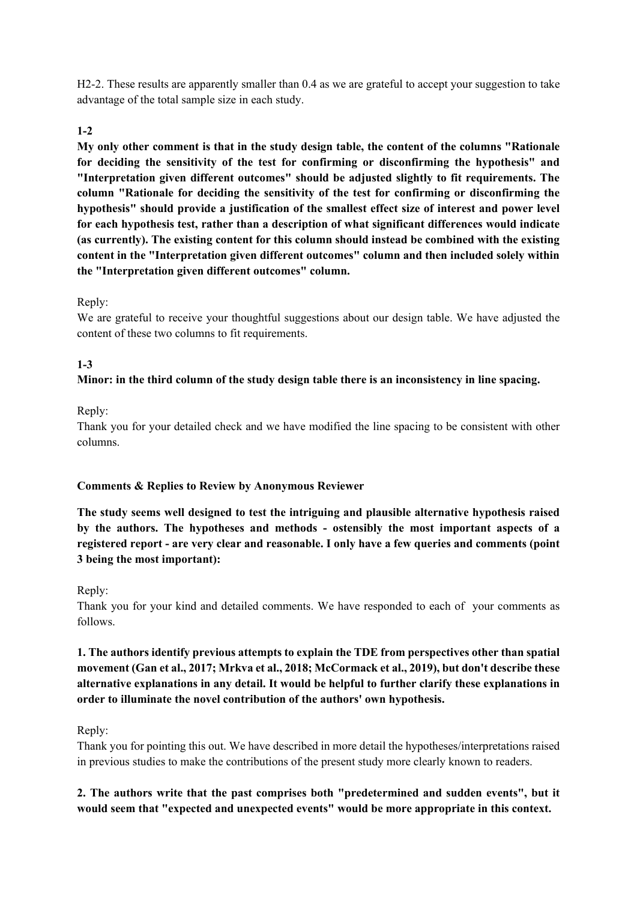H2-2. These results are apparently smaller than 0.4 as we are grateful to accept your suggestion to take advantage of the total sample size in each study.

## **1-2**

**My only other comment is that in the study design table, the content of the columns "Rationale for deciding the sensitivity of the test for confirming or disconfirming the hypothesis" and "Interpretation given different outcomes" should be adjusted slightly to fit requirements. The column "Rationale for deciding the sensitivity of the test for confirming or disconfirming the hypothesis" should provide a justification of the smallest effect size of interest and power level for each hypothesis test, rather than a description of what significant differences would indicate (as currently). The existing content for this column should instead be combined with the existing content in the "Interpretation given different outcomes" column and then included solely within the "Interpretation given different outcomes" column.**

## Reply:

We are grateful to receive your thoughtful suggestions about our design table. We have adjusted the content of these two columns to fit requirements.

## **1-3**

#### **Minor: in the third column of the study design table there is an inconsistency in line spacing.**

#### Reply:

Thank you for your detailed check and we have modified the line spacing to be consistent with other columns.

#### **Comments & Replies to Review by Anonymous Reviewer**

**The study seems well designed to test the intriguing and plausible alternative hypothesis raised by the authors. The hypotheses and methods - ostensibly the most important aspects of a registered report - are very clear and reasonable. I only have a few queries and comments (point 3 being the most important):**

#### Reply:

Thank you for your kind and detailed comments. We have responded to each of your comments as follows.

# **1. The authors identify previous attempts to explain the TDE from perspectives other than spatial movement (Gan et al., 2017; Mrkva et al., 2018; McCormack et al., 2019), but don't describe these alternative explanations in any detail. It would be helpful to further clarify these explanations in order to illuminate the novel contribution of the authors' own hypothesis.**

#### Reply:

Thank you for pointing this out. We have described in more detail the hypotheses/interpretations raised in previous studies to make the contributions of the present study more clearly known to readers.

## **2. The authors write that the past comprises both "predetermined and sudden events", but it would seem that "expected and unexpected events" would be more appropriate in this context.**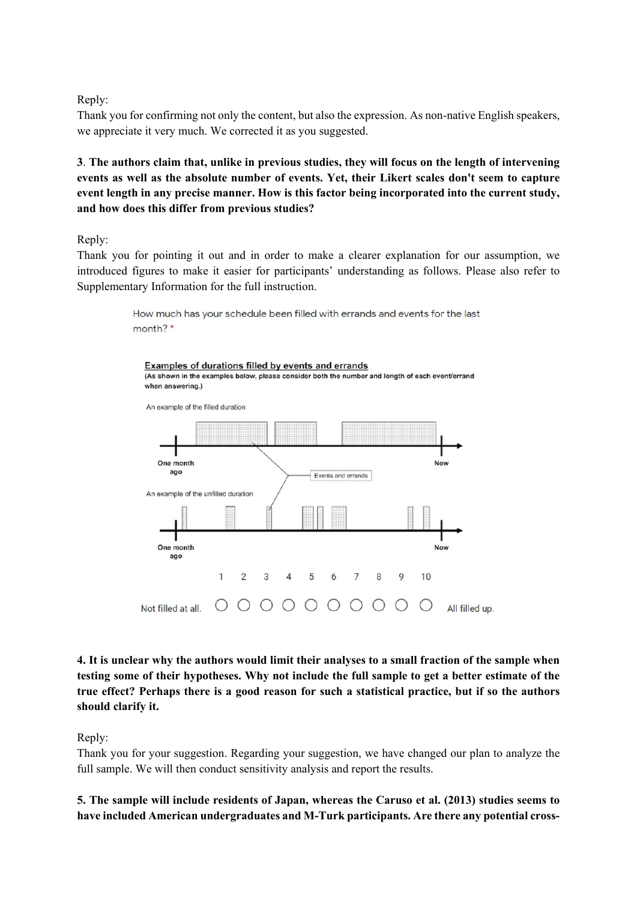Reply:

Thank you for confirming not only the content, but also the expression. As non-native English speakers, we appreciate it very much. We corrected it as you suggested.

**3**. **The authors claim that, unlike in previous studies, they will focus on the length of intervening events as well as the absolute number of events. Yet, their Likert scales don't seem to capture event length in any precise manner. How is this factor being incorporated into the current study, and how does this differ from previous studies?**

Reply:

Thank you for pointing it out and in order to make a clearer explanation for our assumption, we introduced figures to make it easier for participants' understanding as follows. Please also refer to Supplementary Information for the full instruction.



**4. It is unclear why the authors would limit their analyses to a small fraction of the sample when testing some of their hypotheses. Why not include the full sample to get a better estimate of the true effect? Perhaps there is a good reason for such a statistical practice, but if so the authors should clarify it.**

Reply:

Thank you for your suggestion. Regarding your suggestion, we have changed our plan to analyze the full sample. We will then conduct sensitivity analysis and report the results.

**5. The sample will include residents of Japan, whereas the Caruso et al. (2013) studies seems to have included American undergraduates and M-Turk participants. Are there any potential cross-**